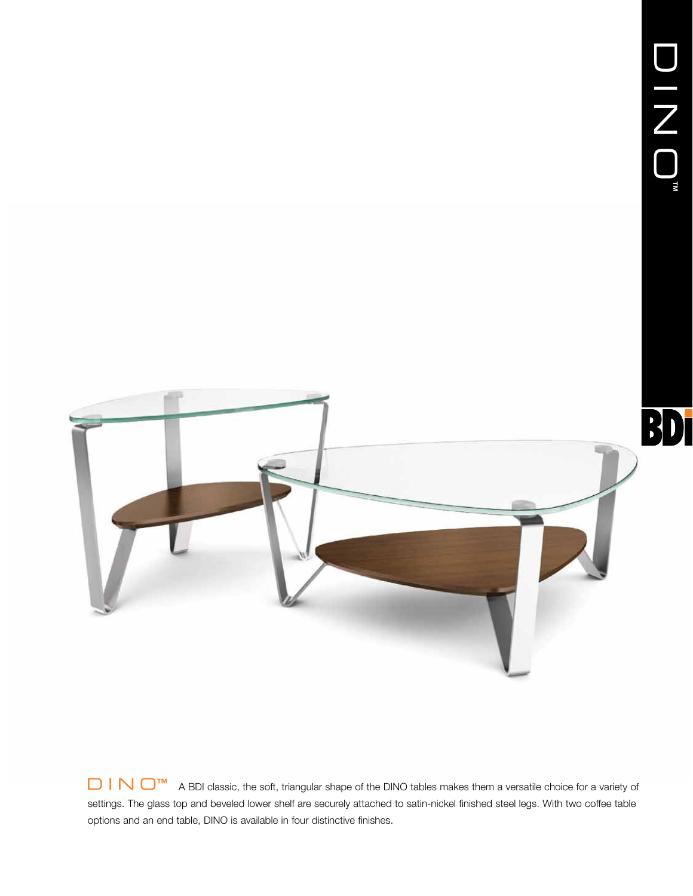

D I N O<sup>™</sup> A BDI classic, the soft, triangular shape of the DINO tables makes them a versatile choice for a variety of settings. The glass top and beveled lower shelf are securely attached to satin-nickel finished steel legs. With two coffee table options and an end table, DINO is available in four distinctive finishes.